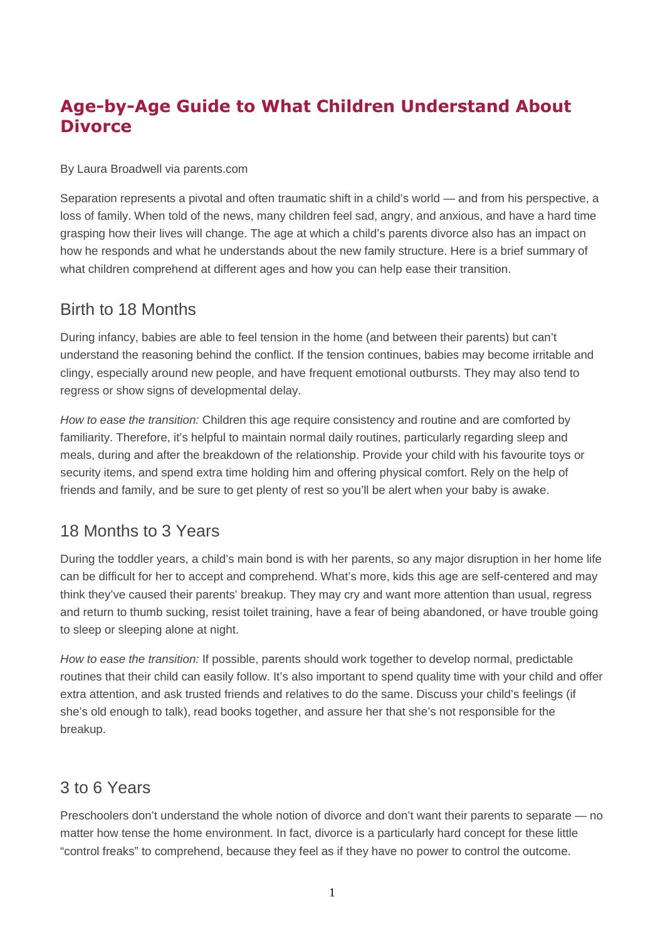# **Age-by-Age Guide to What Children Understand About Divorce**

By Laura Broadwell via parents.com

Separation represents a pivotal and often traumatic shift in a child's world — and from his perspective, a loss of family. When told of the news, many children feel sad, angry, and anxious, and have a hard time grasping how their lives will change. The age at which a child's parents divorce also has an impact on how he responds and what he understands about the new family structure. Here is a brief summary of what children comprehend at different ages and how you can help ease their transition.

#### Birth to 18 Months

During infancy, babies are able to feel tension in the home (and between their parents) but can't understand the reasoning behind the conflict. If the tension continues, babies may become irritable and clingy, especially around new people, and have frequent emotional outbursts. They may also tend to regress or show signs of developmental delay.

*How to ease the transition:* Children this age require consistency and routine and are comforted by familiarity. Therefore, it's helpful to maintain normal daily routines, particularly regarding sleep and meals, during and after the breakdown of the relationship. Provide your child with his favourite toys or security items, and spend extra time holding him and offering physical comfort. Rely on the help of friends and family, and be sure to get plenty of rest so you'll be alert when your baby is awake.

### 18 Months to 3 Years

During the toddler years, a child's main bond is with her parents, so any major disruption in her home life can be difficult for her to accept and comprehend. What's more, kids this age are self-centered and may think they've caused their parents' breakup. They may cry and want more attention than usual, regress and return to thumb sucking, resist toilet training, have a fear of being abandoned, or have trouble going to sleep or sleeping alone at night.

*How to ease the transition:* If possible, parents should work together to develop normal, predictable routines that their child can easily follow. It's also important to spend quality time with your child and offer extra attention, and ask trusted friends and relatives to do the same. Discuss your child's feelings (if she's old enough to talk), read books together, and assure her that she's not responsible for the breakup.

## 3 to 6 Years

Preschoolers don't understand the whole notion of divorce and don't want their parents to separate — no matter how tense the home environment. In fact, divorce is a particularly hard concept for these little "control freaks" to comprehend, because they feel as if they have no power to control the outcome.